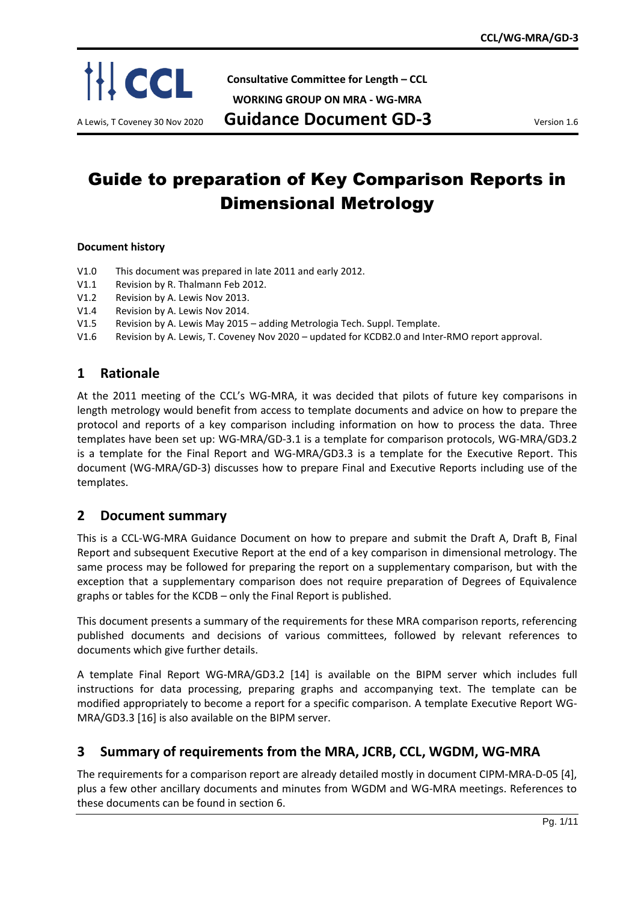

**Consultative Committee for Length – CCL**

**WORKING GROUP ON MRA - WG-MRA**

A Lewis, T Coveney 30 Nov 2020 **Guidance Document GD-3** Version 1.6

# Guide to preparation of Key Comparison Reports in Dimensional Metrology

### **Document history**

- V1.0 This document was prepared in late 2011 and early 2012.
- V1.1 Revision by R. Thalmann Feb 2012.
- V1.2 Revision by A. Lewis Nov 2013.
- V1.4 Revision by A. Lewis Nov 2014.
- V1.5 Revision by A. Lewis May 2015 adding Metrologia Tech. Suppl. Template.
- V1.6 Revision by A. Lewis, T. Coveney Nov 2020 updated for KCDB2.0 and Inter-RMO report approval.

# **1 Rationale**

At the 2011 meeting of the CCL's WG-MRA, it was decided that pilots of future key comparisons in length metrology would benefit from access to template documents and advice on how to prepare the protocol and reports of a key comparison including information on how to process the data. Three templates have been set up: WG-MRA/GD-3.1 is a template for comparison protocols, WG-MRA/GD3.2 is a template for the Final Report and WG-MRA/GD3.3 is a template for the Executive Report. This document (WG-MRA/GD-3) discusses how to prepare Final and Executive Reports including use of the templates.

# **2 Document summary**

This is a CCL-WG-MRA Guidance Document on how to prepare and submit the Draft A, Draft B, Final Report and subsequent Executive Report at the end of a key comparison in dimensional metrology. The same process may be followed for preparing the report on a supplementary comparison, but with the exception that a supplementary comparison does not require preparation of Degrees of Equivalence graphs or tables for the KCDB – only the Final Report is published.

This document presents a summary of the requirements for these MRA comparison reports, referencing published documents and decisions of various committees, followed by relevant references to documents which give further details.

A template Final Report WG-MRA/GD3.2 [14] is available on the BIPM server which includes full instructions for data processing, preparing graphs and accompanying text. The template can be modified appropriately to become a report for a specific comparison. A template Executive Report WG-MRA/GD3.3 [16] is also available on the BIPM server.

# **3 Summary of requirements from the MRA, JCRB, CCL, WGDM, WG-MRA**

The requirements for a comparison report are already detailed mostly in document CIPM-MRA-D-05 [4], plus a few other ancillary documents and minutes from WGDM and WG-MRA meetings. References to these documents can be found in section 6.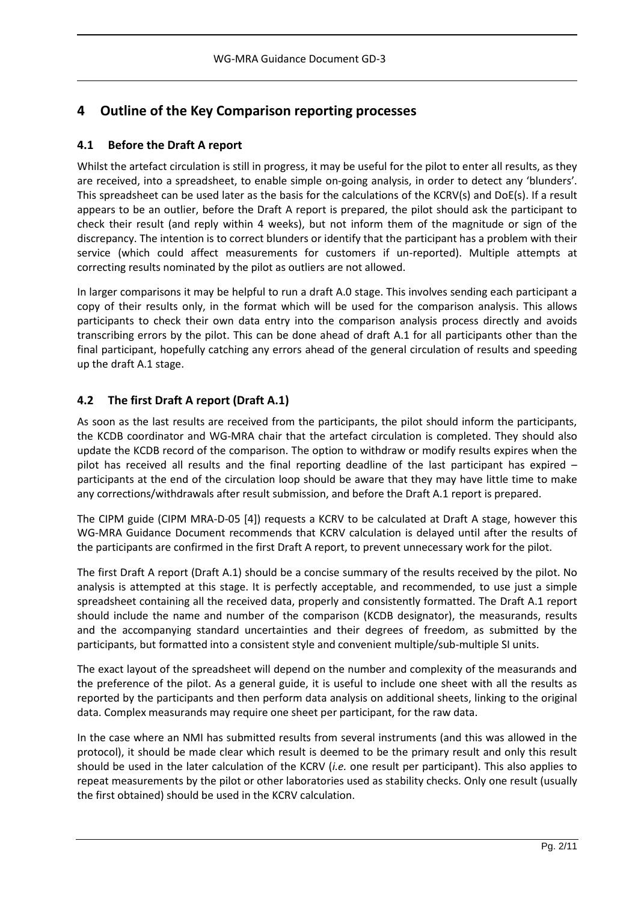# **4 Outline of the Key Comparison reporting processes**

# **4.1 Before the Draft A report**

Whilst the artefact circulation is still in progress, it may be useful for the pilot to enter all results, as they are received, into a spreadsheet, to enable simple on-going analysis, in order to detect any 'blunders'. This spreadsheet can be used later as the basis for the calculations of the KCRV(s) and DoE(s). If a result appears to be an outlier, before the Draft A report is prepared, the pilot should ask the participant to check their result (and reply within 4 weeks), but not inform them of the magnitude or sign of the discrepancy. The intention is to correct blunders or identify that the participant has a problem with their service (which could affect measurements for customers if un-reported). Multiple attempts at correcting results nominated by the pilot as outliers are not allowed.

In larger comparisons it may be helpful to run a draft A.0 stage. This involves sending each participant a copy of their results only, in the format which will be used for the comparison analysis. This allows participants to check their own data entry into the comparison analysis process directly and avoids transcribing errors by the pilot. This can be done ahead of draft A.1 for all participants other than the final participant, hopefully catching any errors ahead of the general circulation of results and speeding up the draft A.1 stage.

# **4.2 The first Draft A report (Draft A.1)**

As soon as the last results are received from the participants, the pilot should inform the participants, the KCDB coordinator and WG-MRA chair that the artefact circulation is completed. They should also update the KCDB record of the comparison. The option to withdraw or modify results expires when the pilot has received all results and the final reporting deadline of the last participant has expired – participants at the end of the circulation loop should be aware that they may have little time to make any corrections/withdrawals after result submission, and before the Draft A.1 report is prepared.

The CIPM guide (CIPM MRA-D-05 [4]) requests a KCRV to be calculated at Draft A stage, however this WG-MRA Guidance Document recommends that KCRV calculation is delayed until after the results of the participants are confirmed in the first Draft A report, to prevent unnecessary work for the pilot.

The first Draft A report (Draft A.1) should be a concise summary of the results received by the pilot. No analysis is attempted at this stage. It is perfectly acceptable, and recommended, to use just a simple spreadsheet containing all the received data, properly and consistently formatted. The Draft A.1 report should include the name and number of the comparison (KCDB designator), the measurands, results and the accompanying standard uncertainties and their degrees of freedom, as submitted by the participants, but formatted into a consistent style and convenient multiple/sub-multiple SI units.

The exact layout of the spreadsheet will depend on the number and complexity of the measurands and the preference of the pilot. As a general guide, it is useful to include one sheet with all the results as reported by the participants and then perform data analysis on additional sheets, linking to the original data. Complex measurands may require one sheet per participant, for the raw data.

In the case where an NMI has submitted results from several instruments (and this was allowed in the protocol), it should be made clear which result is deemed to be the primary result and only this result should be used in the later calculation of the KCRV (*i.e.* one result per participant). This also applies to repeat measurements by the pilot or other laboratories used as stability checks. Only one result (usually the first obtained) should be used in the KCRV calculation.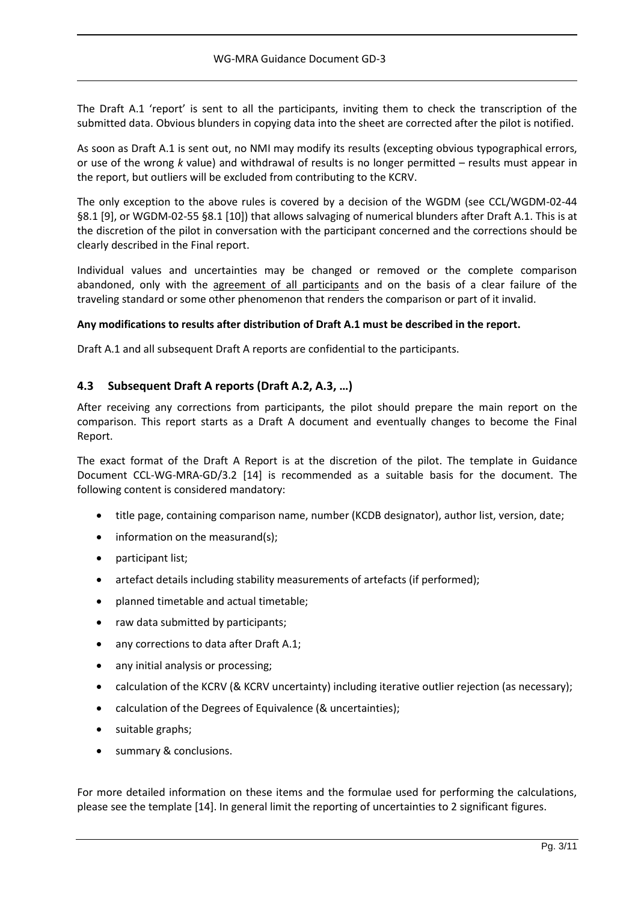The Draft A.1 'report' is sent to all the participants, inviting them to check the transcription of the submitted data. Obvious blunders in copying data into the sheet are corrected after the pilot is notified.

As soon as Draft A.1 is sent out, no NMI may modify its results (excepting obvious typographical errors, or use of the wrong *k* value) and withdrawal of results is no longer permitted – results must appear in the report, but outliers will be excluded from contributing to the KCRV.

The only exception to the above rules is covered by a decision of the WGDM (see CCL/WGDM-02-44 §8.1 [9], or WGDM-02-55 §8.1 [10]) that allows salvaging of numerical blunders after Draft A.1. This is at the discretion of the pilot in conversation with the participant concerned and the corrections should be clearly described in the Final report.

Individual values and uncertainties may be changed or removed or the complete comparison abandoned, only with the agreement of all participants and on the basis of a clear failure of the traveling standard or some other phenomenon that renders the comparison or part of it invalid.

## **Any modifications to results after distribution of Draft A.1 must be described in the report.**

Draft A.1 and all subsequent Draft A reports are confidential to the participants.

# **4.3 Subsequent Draft A reports (Draft A.2, A.3, …)**

After receiving any corrections from participants, the pilot should prepare the main report on the comparison. This report starts as a Draft A document and eventually changes to become the Final Report.

The exact format of the Draft A Report is at the discretion of the pilot. The template in Guidance Document CCL-WG-MRA-GD/3.2 [14] is recommended as a suitable basis for the document. The following content is considered mandatory:

- title page, containing comparison name, number (KCDB designator), author list, version, date;
- information on the measurand(s);
- participant list;
- artefact details including stability measurements of artefacts (if performed);
- planned timetable and actual timetable;
- raw data submitted by participants;
- any corrections to data after Draft A.1;
- any initial analysis or processing;
- calculation of the KCRV (& KCRV uncertainty) including iterative outlier rejection (as necessary);
- calculation of the Degrees of Equivalence (& uncertainties);
- suitable graphs;
- summary & conclusions.

For more detailed information on these items and the formulae used for performing the calculations, please see the template [14]. In general limit the reporting of uncertainties to 2 significant figures.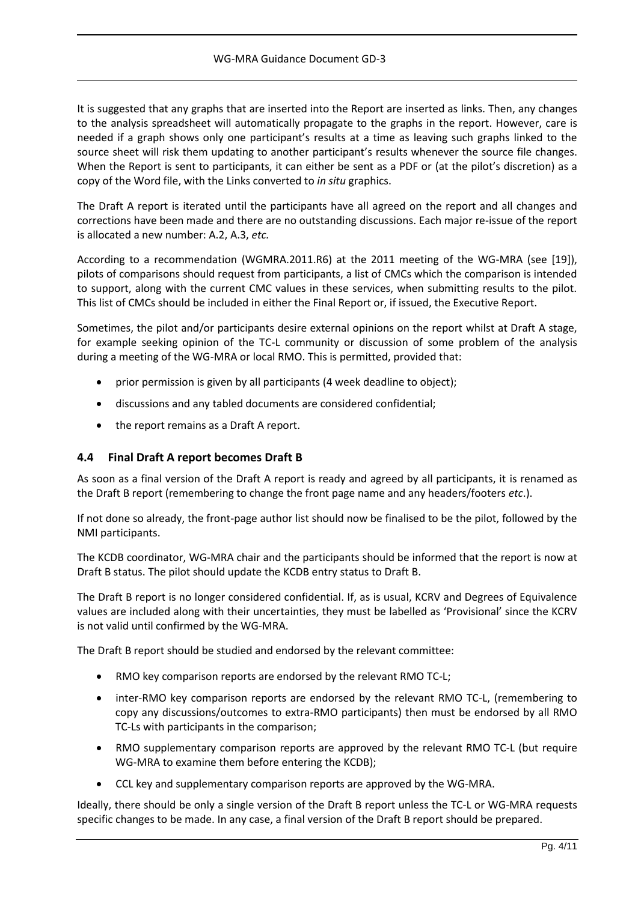It is suggested that any graphs that are inserted into the Report are inserted as links. Then, any changes to the analysis spreadsheet will automatically propagate to the graphs in the report. However, care is needed if a graph shows only one participant's results at a time as leaving such graphs linked to the source sheet will risk them updating to another participant's results whenever the source file changes. When the Report is sent to participants, it can either be sent as a PDF or (at the pilot's discretion) as a copy of the Word file, with the Links converted to *in situ* graphics.

The Draft A report is iterated until the participants have all agreed on the report and all changes and corrections have been made and there are no outstanding discussions. Each major re-issue of the report is allocated a new number: A.2, A.3, *etc.*

According to a recommendation (WGMRA.2011.R6) at the 2011 meeting of the WG-MRA (see [19]), pilots of comparisons should request from participants, a list of CMCs which the comparison is intended to support, along with the current CMC values in these services, when submitting results to the pilot. This list of CMCs should be included in either the Final Report or, if issued, the Executive Report.

Sometimes, the pilot and/or participants desire external opinions on the report whilst at Draft A stage, for example seeking opinion of the TC-L community or discussion of some problem of the analysis during a meeting of the WG-MRA or local RMO. This is permitted, provided that:

- prior permission is given by all participants (4 week deadline to object);
- discussions and any tabled documents are considered confidential;
- the report remains as a Draft A report.

# **4.4 Final Draft A report becomes Draft B**

As soon as a final version of the Draft A report is ready and agreed by all participants, it is renamed as the Draft B report (remembering to change the front page name and any headers/footers *etc*.).

If not done so already, the front-page author list should now be finalised to be the pilot, followed by the NMI participants.

The KCDB coordinator, WG-MRA chair and the participants should be informed that the report is now at Draft B status. The pilot should update the KCDB entry status to Draft B.

The Draft B report is no longer considered confidential. If, as is usual, KCRV and Degrees of Equivalence values are included along with their uncertainties, they must be labelled as 'Provisional' since the KCRV is not valid until confirmed by the WG-MRA.

The Draft B report should be studied and endorsed by the relevant committee:

- RMO key comparison reports are endorsed by the relevant RMO TC-L;
- inter-RMO key comparison reports are endorsed by the relevant RMO TC-L, (remembering to copy any discussions/outcomes to extra-RMO participants) then must be endorsed by all RMO TC-Ls with participants in the comparison;
- RMO supplementary comparison reports are approved by the relevant RMO TC-L (but require WG-MRA to examine them before entering the KCDB);
- CCL key and supplementary comparison reports are approved by the WG-MRA.

Ideally, there should be only a single version of the Draft B report unless the TC-L or WG-MRA requests specific changes to be made. In any case, a final version of the Draft B report should be prepared.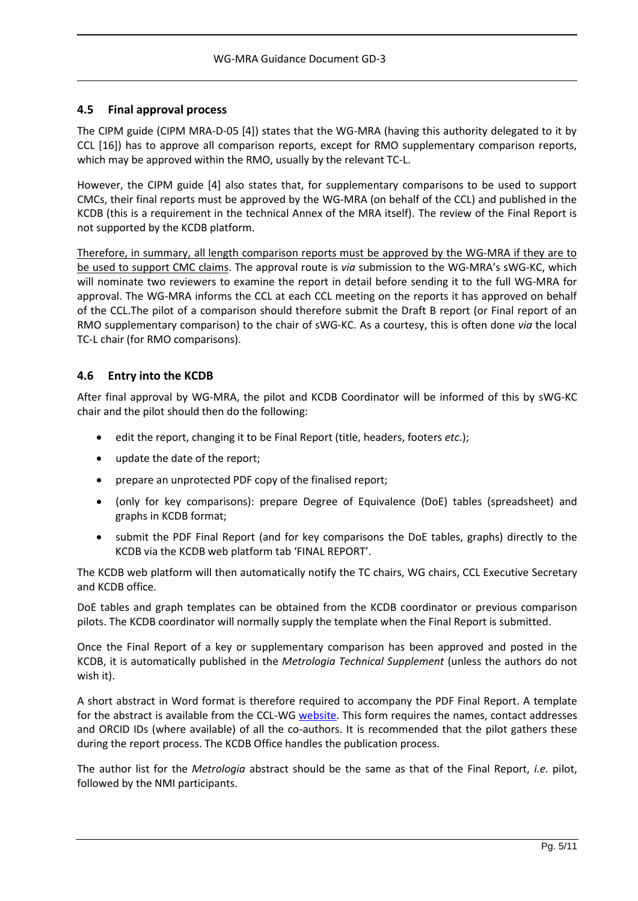# **4.5 Final approval process**

The CIPM guide (CIPM MRA-D-05 [4]) states that the WG-MRA (having this authority delegated to it by CCL [16]) has to approve all comparison reports, except for RMO supplementary comparison reports, which may be approved within the RMO, usually by the relevant TC-L.

However, the CIPM guide [4] also states that, for supplementary comparisons to be used to support CMCs, their final reports must be approved by the WG-MRA (on behalf of the CCL) and published in the KCDB (this is a requirement in the technical Annex of the MRA itself). The review of the Final Report is not supported by the KCDB platform.

Therefore, in summary, all length comparison reports must be approved by the WG-MRA if they are to be used to support CMC claims. The approval route is *via* submission to the WG-MRA's sWG-KC, which will nominate two reviewers to examine the report in detail before sending it to the full WG-MRA for approval. The WG-MRA informs the CCL at each CCL meeting on the reports it has approved on behalf of the CCL.The pilot of a comparison should therefore submit the Draft B report (or Final report of an RMO supplementary comparison) to the chair of sWG-KC. As a courtesy, this is often done *via* the local TC-L chair (for RMO comparisons).

## **4.6 Entry into the KCDB**

After final approval by WG-MRA, the pilot and KCDB Coordinator will be informed of this by sWG-KC chair and the pilot should then do the following:

- edit the report, changing it to be Final Report (title, headers, footers *etc*.);
- update the date of the report;
- prepare an unprotected PDF copy of the finalised report;
- (only for key comparisons): prepare Degree of Equivalence (DoE) tables (spreadsheet) and graphs in KCDB format;
- submit the PDF Final Report (and for key comparisons the DoE tables, graphs) directly to the KCDB via the KCDB web platform tab 'FINAL REPORT'.

The KCDB web platform will then automatically notify the TC chairs, WG chairs, CCL Executive Secretary and KCDB office.

DoE tables and graph templates can be obtained from the KCDB coordinator or previous comparison pilots. The KCDB coordinator will normally supply the template when the Final Report is submitted.

Once the Final Report of a key or supplementary comparison has been approved and posted in the KCDB, it is automatically published in the *Metrologia Technical Supplement* (unless the authors do not wish it).

A short abstract in Word format is therefore required to accompany the PDF Final Report. A template for the abstract is available from the CCL-WG [website.](https://www.bipm.org/utils/common/documents/CIPM-MRA/MET-Technical-Supplement.docx) This form requires the names, contact addresses and ORCID IDs (where available) of all the co-authors. It is recommended that the pilot gathers these during the report process. The KCDB Office handles the publication process.

The author list for the *Metrologia* abstract should be the same as that of the Final Report, *i.e.* pilot, followed by the NMI participants.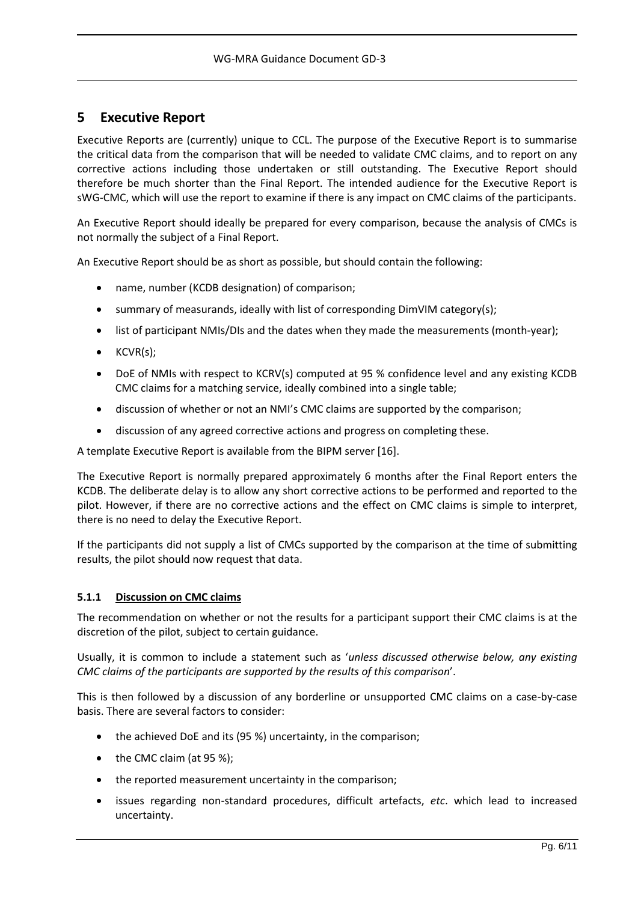# **5 Executive Report**

Executive Reports are (currently) unique to CCL. The purpose of the Executive Report is to summarise the critical data from the comparison that will be needed to validate CMC claims, and to report on any corrective actions including those undertaken or still outstanding. The Executive Report should therefore be much shorter than the Final Report. The intended audience for the Executive Report is sWG-CMC, which will use the report to examine if there is any impact on CMC claims of the participants.

An Executive Report should ideally be prepared for every comparison, because the analysis of CMCs is not normally the subject of a Final Report.

An Executive Report should be as short as possible, but should contain the following:

- name, number (KCDB designation) of comparison;
- summary of measurands, ideally with list of corresponding DimVIM category(s);
- list of participant NMIs/DIs and the dates when they made the measurements (month-year);
- $\bullet$  KCVR(s);
- DoE of NMIs with respect to KCRV(s) computed at 95 % confidence level and any existing KCDB CMC claims for a matching service, ideally combined into a single table;
- discussion of whether or not an NMI's CMC claims are supported by the comparison;
- discussion of any agreed corrective actions and progress on completing these.

A template Executive Report is available from the BIPM server [16].

The Executive Report is normally prepared approximately 6 months after the Final Report enters the KCDB. The deliberate delay is to allow any short corrective actions to be performed and reported to the pilot. However, if there are no corrective actions and the effect on CMC claims is simple to interpret, there is no need to delay the Executive Report.

If the participants did not supply a list of CMCs supported by the comparison at the time of submitting results, the pilot should now request that data.

### **5.1.1 Discussion on CMC claims**

The recommendation on whether or not the results for a participant support their CMC claims is at the discretion of the pilot, subject to certain guidance.

Usually, it is common to include a statement such as '*unless discussed otherwise below, any existing CMC claims of the participants are supported by the results of this comparison*'.

This is then followed by a discussion of any borderline or unsupported CMC claims on a case-by-case basis. There are several factors to consider:

- the achieved DoE and its (95 %) uncertainty, in the comparison;
- the CMC claim (at 95 %);
- the reported measurement uncertainty in the comparison;
- issues regarding non-standard procedures, difficult artefacts, *etc*. which lead to increased uncertainty.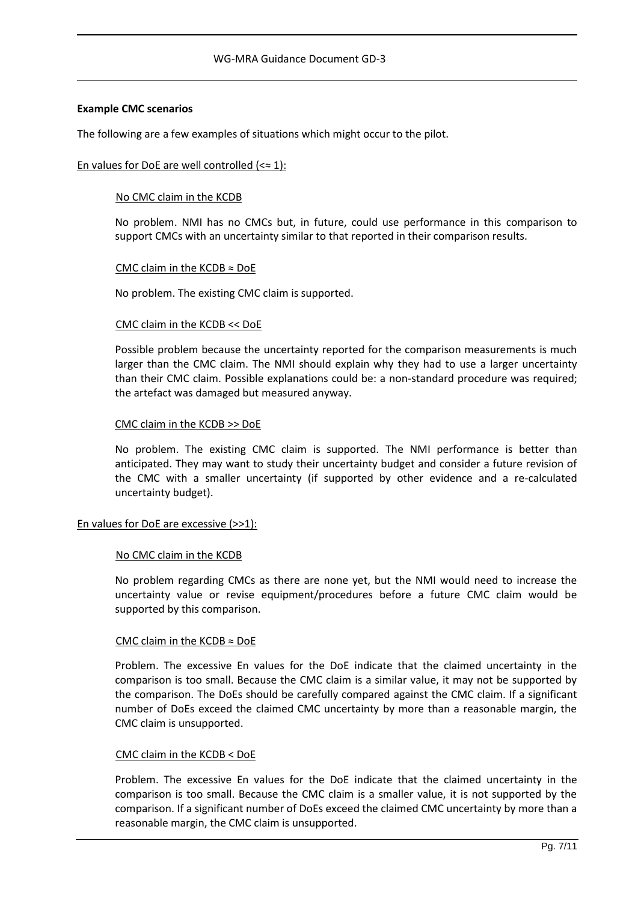#### **Example CMC scenarios**

The following are a few examples of situations which might occur to the pilot.

#### En values for DoE are well controlled  $(\leq \approx 1)$ :

#### No CMC claim in the KCDB

No problem. NMI has no CMCs but, in future, could use performance in this comparison to support CMCs with an uncertainty similar to that reported in their comparison results.

#### CMC claim in the KCDB  $\approx$  DoE

No problem. The existing CMC claim is supported.

#### CMC claim in the KCDB << DoE

Possible problem because the uncertainty reported for the comparison measurements is much larger than the CMC claim. The NMI should explain why they had to use a larger uncertainty than their CMC claim. Possible explanations could be: a non-standard procedure was required; the artefact was damaged but measured anyway.

#### CMC claim in the KCDB >> DoE

No problem. The existing CMC claim is supported. The NMI performance is better than anticipated. They may want to study their uncertainty budget and consider a future revision of the CMC with a smaller uncertainty (if supported by other evidence and a re-calculated uncertainty budget).

### En values for DoE are excessive (>>1):

#### No CMC claim in the KCDB

No problem regarding CMCs as there are none yet, but the NMI would need to increase the uncertainty value or revise equipment/procedures before a future CMC claim would be supported by this comparison.

### CMC claim in the KCDB ≈ DoE

Problem. The excessive En values for the DoE indicate that the claimed uncertainty in the comparison is too small. Because the CMC claim is a similar value, it may not be supported by the comparison. The DoEs should be carefully compared against the CMC claim. If a significant number of DoEs exceed the claimed CMC uncertainty by more than a reasonable margin, the CMC claim is unsupported.

#### CMC claim in the KCDB < DoE

Problem. The excessive En values for the DoE indicate that the claimed uncertainty in the comparison is too small. Because the CMC claim is a smaller value, it is not supported by the comparison. If a significant number of DoEs exceed the claimed CMC uncertainty by more than a reasonable margin, the CMC claim is unsupported.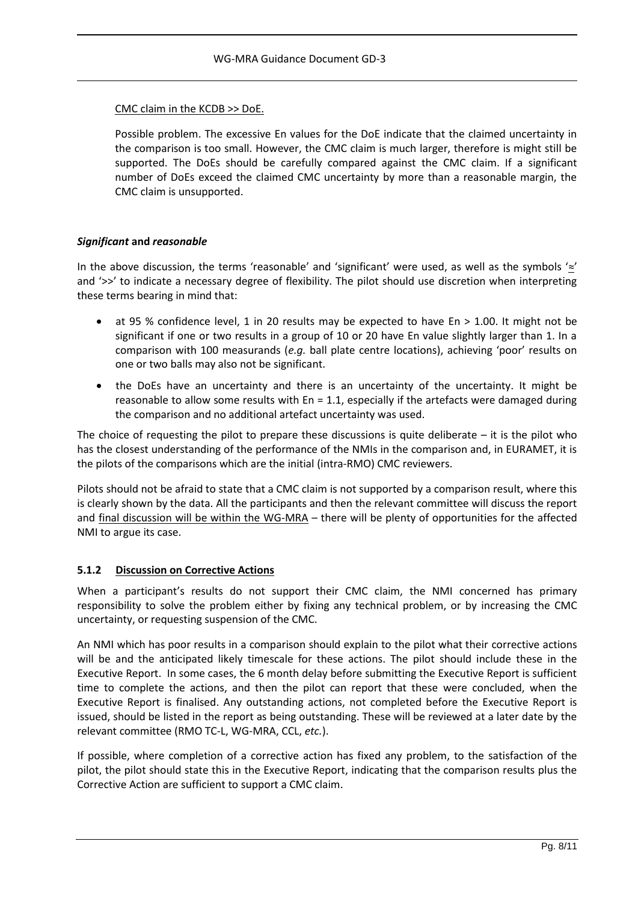### CMC claim in the KCDB >> DoE.

Possible problem. The excessive En values for the DoE indicate that the claimed uncertainty in the comparison is too small. However, the CMC claim is much larger, therefore is might still be supported. The DoEs should be carefully compared against the CMC claim. If a significant number of DoEs exceed the claimed CMC uncertainty by more than a reasonable margin, the CMC claim is unsupported.

## *Significant* **and** *reasonable*

In the above discussion, the terms 'reasonable' and 'significant' were used, as well as the symbols '≈' and '>>' to indicate a necessary degree of flexibility. The pilot should use discretion when interpreting these terms bearing in mind that:

- at 95 % confidence level, 1 in 20 results may be expected to have En  $> 1.00$ . It might not be significant if one or two results in a group of 10 or 20 have En value slightly larger than 1. In a comparison with 100 measurands (*e.g.* ball plate centre locations), achieving 'poor' results on one or two balls may also not be significant.
- the DoEs have an uncertainty and there is an uncertainty of the uncertainty. It might be reasonable to allow some results with  $En = 1.1$ , especially if the artefacts were damaged during the comparison and no additional artefact uncertainty was used.

The choice of requesting the pilot to prepare these discussions is quite deliberate  $-$  it is the pilot who has the closest understanding of the performance of the NMIs in the comparison and, in EURAMET, it is the pilots of the comparisons which are the initial (intra-RMO) CMC reviewers.

Pilots should not be afraid to state that a CMC claim is not supported by a comparison result, where this is clearly shown by the data. All the participants and then the relevant committee will discuss the report and final discussion will be within the WG-MRA – there will be plenty of opportunities for the affected NMI to argue its case.

# **5.1.2 Discussion on Corrective Actions**

When a participant's results do not support their CMC claim, the NMI concerned has primary responsibility to solve the problem either by fixing any technical problem, or by increasing the CMC uncertainty, or requesting suspension of the CMC.

An NMI which has poor results in a comparison should explain to the pilot what their corrective actions will be and the anticipated likely timescale for these actions. The pilot should include these in the Executive Report. In some cases, the 6 month delay before submitting the Executive Report is sufficient time to complete the actions, and then the pilot can report that these were concluded, when the Executive Report is finalised. Any outstanding actions, not completed before the Executive Report is issued, should be listed in the report as being outstanding. These will be reviewed at a later date by the relevant committee (RMO TC-L, WG-MRA, CCL, *etc.*).

If possible, where completion of a corrective action has fixed any problem, to the satisfaction of the pilot, the pilot should state this in the Executive Report, indicating that the comparison results plus the Corrective Action are sufficient to support a CMC claim.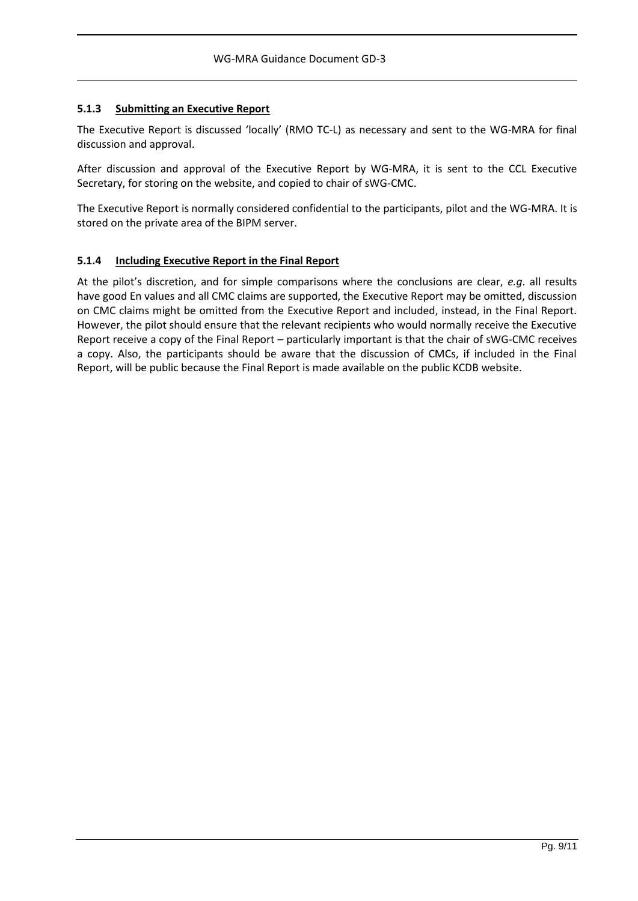## **5.1.3 Submitting an Executive Report**

The Executive Report is discussed 'locally' (RMO TC-L) as necessary and sent to the WG-MRA for final discussion and approval.

After discussion and approval of the Executive Report by WG-MRA, it is sent to the CCL Executive Secretary, for storing on the website, and copied to chair of sWG-CMC.

The Executive Report is normally considered confidential to the participants, pilot and the WG-MRA. It is stored on the private area of the BIPM server.

## **5.1.4 Including Executive Report in the Final Report**

At the pilot's discretion, and for simple comparisons where the conclusions are clear, *e.g*. all results have good En values and all CMC claims are supported, the Executive Report may be omitted, discussion on CMC claims might be omitted from the Executive Report and included, instead, in the Final Report. However, the pilot should ensure that the relevant recipients who would normally receive the Executive Report receive a copy of the Final Report – particularly important is that the chair of sWG-CMC receives a copy. Also, the participants should be aware that the discussion of CMCs, if included in the Final Report, will be public because the Final Report is made available on the public KCDB website.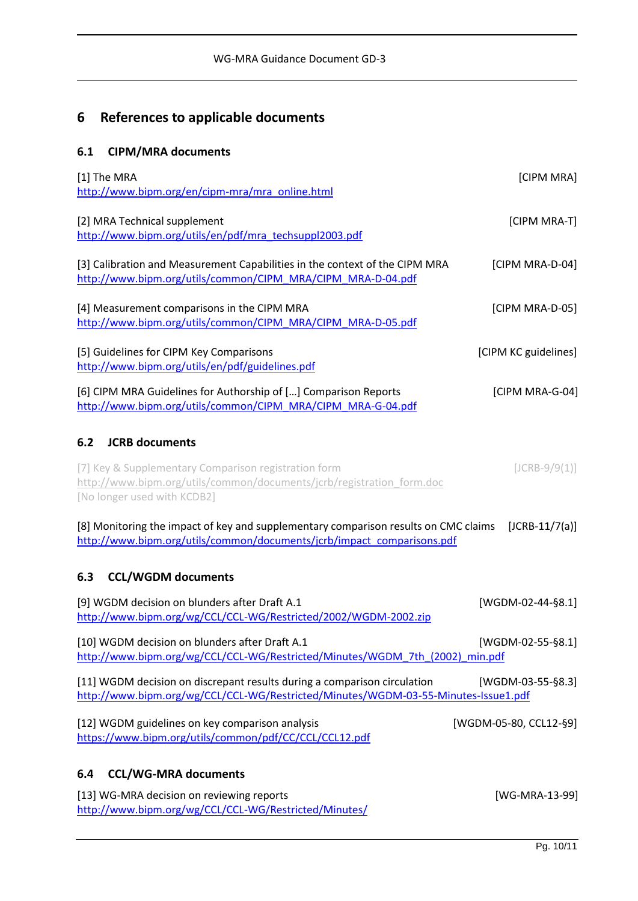# **6 References to applicable documents**

# **6.1 CIPM/MRA documents**

| [1] The MRA<br>http://www.bipm.org/en/cipm-mra/mra_online.html                                                                                                 | [CIPM MRA]             |
|----------------------------------------------------------------------------------------------------------------------------------------------------------------|------------------------|
| [2] MRA Technical supplement<br>http://www.bipm.org/utils/en/pdf/mra_techsuppl2003.pdf                                                                         | [CIPM MRA-T]           |
| [3] Calibration and Measurement Capabilities in the context of the CIPM MRA<br>http://www.bipm.org/utils/common/CIPM MRA/CIPM MRA-D-04.pdf                     | [CIPM MRA-D-04]        |
| [4] Measurement comparisons in the CIPM MRA<br>http://www.bipm.org/utils/common/CIPM MRA/CIPM MRA-D-05.pdf                                                     | [CIPM MRA-D-05]        |
| [5] Guidelines for CIPM Key Comparisons<br>http://www.bipm.org/utils/en/pdf/guidelines.pdf                                                                     | [CIPM KC guidelines]   |
| [6] CIPM MRA Guidelines for Authorship of [] Comparison Reports<br>http://www.bipm.org/utils/common/CIPM MRA/CIPM MRA-G-04.pdf                                 | [CIPM MRA-G-04]        |
| <b>JCRB</b> documents<br>6.2                                                                                                                                   |                        |
| [7] Key & Supplementary Comparison registration form<br>http://www.bipm.org/utils/common/documents/jcrb/registration form.doc<br>[No longer used with KCDB2]   | $[JCRB-9/9(1)]$        |
| [8] Monitoring the impact of key and supplementary comparison results on CMC claims<br>http://www.bipm.org/utils/common/documents/jcrb/impact_comparisons.pdf  | $[JCRB-11/7(a)]$       |
| <b>CCL/WGDM documents</b><br>6.3                                                                                                                               |                        |
| [9] WGDM decision on blunders after Draft A.1<br>http://www.bipm.org/wg/CCL/CCL-WG/Restricted/2002/WGDM-2002.zip                                               | $[WGDM-02-44-§8.1]$    |
| [10] WGDM decision on blunders after Draft A.1<br>http://www.bipm.org/wg/CCL/CCL-WG/Restricted/Minutes/WGDM 7th (2002) min.pdf                                 | [WGDM-02-55-§8.1]      |
| [11] WGDM decision on discrepant results during a comparison circulation<br>http://www.bipm.org/wg/CCL/CCL-WG/Restricted/Minutes/WGDM-03-55-Minutes-Issue1.pdf | [WGDM-03-55-§8.3]      |
| [12] WGDM guidelines on key comparison analysis<br>https://www.bipm.org/utils/common/pdf/CC/CCL/CCL12.pdf                                                      | [WGDM-05-80, CCL12-§9] |
| <b>CCL/WG-MRA documents</b><br>6.4                                                                                                                             |                        |
| [13] WG-MRA decision on reviewing reports<br>http://www.bipm.org/wg/CCL/CCL-WG/Restricted/Minutes/                                                             | [WG-MRA-13-99]         |